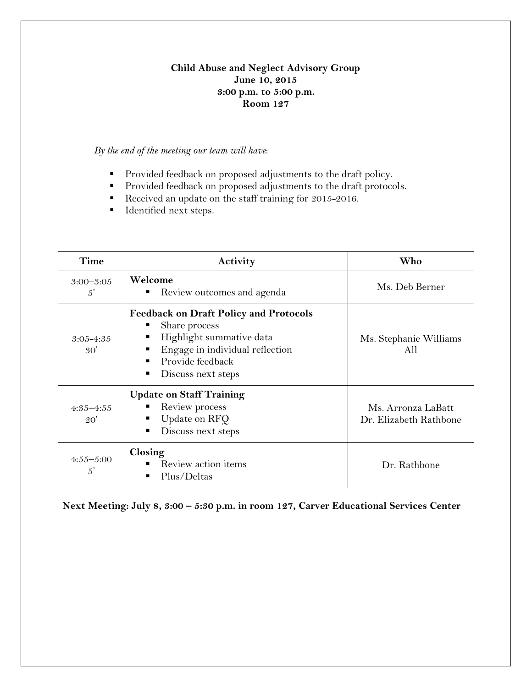# **Child Abuse and Neglect Advisory Group June 10, 2015 3:00 p.m. to 5:00 p.m. Room 127**

# *By the end of the meeting our team will have*:

- **Provided feedback on proposed adjustments to the draft policy.**
- **Provided feedback on proposed adjustments to the draft protocols.**
- Received an update on the staff training for 2015-2016.
- **IDENTIFIED 1955.**

| Time                          | Activity                                                                                                                                                                                    | Who                                          |  |  |
|-------------------------------|---------------------------------------------------------------------------------------------------------------------------------------------------------------------------------------------|----------------------------------------------|--|--|
| $3:00 - 3:05$<br>$5^{\prime}$ | Welcome<br>Review outcomes and agenda<br>ш                                                                                                                                                  | Ms. Deb Berner                               |  |  |
| $3:05 - 4:35$<br>30'          | <b>Feedback on Draft Policy and Protocols</b><br>Share process<br>ш<br>Highlight summative data<br>٠<br>Engage in individual reflection<br>п<br>Provide feedback<br>Discuss next steps<br>٠ | Ms. Stephanie Williams<br>AII                |  |  |
| $4:35 - 4:55$<br>20'          | <b>Update on Staff Training</b><br>Review process<br>Update on RFQ<br>ш<br>Discuss next steps<br>٠                                                                                          | Ms. Arronza LaBatt<br>Dr. Elizabeth Rathbone |  |  |
| $4:55 - 5:00$<br>$5^{\prime}$ | Closing<br>Review action items<br>Plus/Deltas                                                                                                                                               | Dr. Rathbone                                 |  |  |

**Next Meeting: July 8, 3:00 – 5:30 p.m. in room 127, Carver Educational Services Center**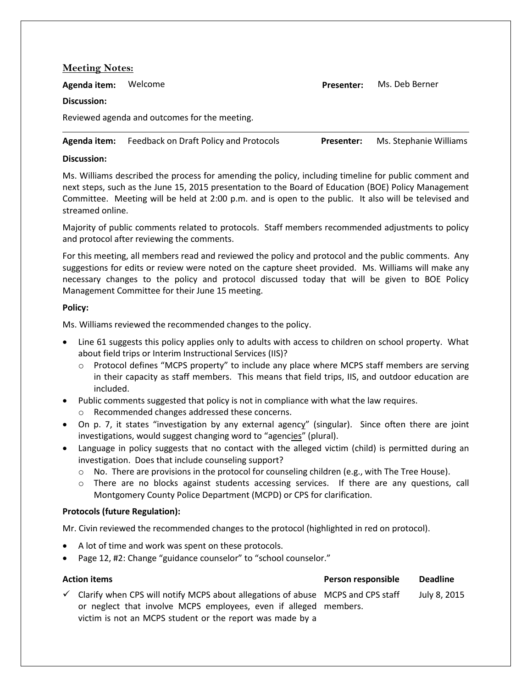| <b>Meeting Notes:</b>                         |                                        |                   |                        |  |  |  |  |
|-----------------------------------------------|----------------------------------------|-------------------|------------------------|--|--|--|--|
| Agenda item:                                  | Welcome                                | <b>Presenter:</b> | Ms. Deb Berner         |  |  |  |  |
| Discussion:                                   |                                        |                   |                        |  |  |  |  |
| Reviewed agenda and outcomes for the meeting. |                                        |                   |                        |  |  |  |  |
| Agenda item:                                  | Feedback on Draft Policy and Protocols | Presenter:        | Ms. Stephanie Williams |  |  |  |  |

## **Discussion:**

Ms. Williams described the process for amending the policy, including timeline for public comment and next steps, such as the June 15, 2015 presentation to the Board of Education (BOE) Policy Management Committee. Meeting will be held at 2:00 p.m. and is open to the public. It also will be televised and streamed online.

Majority of public comments related to protocols. Staff members recommended adjustments to policy and protocol after reviewing the comments.

For this meeting, all members read and reviewed the policy and protocol and the public comments. Any suggestions for edits or review were noted on the capture sheet provided. Ms. Williams will make any necessary changes to the policy and protocol discussed today that will be given to BOE Policy Management Committee for their June 15 meeting.

### **Policy:**

Ms. Williams reviewed the recommended changes to the policy.

- Line 61 suggests this policy applies only to adults with access to children on school property. What about field trips or Interim Instructional Services (IIS)?
	- o Protocol defines "MCPS property" to include any place where MCPS staff members are serving in their capacity as staff members. This means that field trips, IIS, and outdoor education are included.
- Public comments suggested that policy is not in compliance with what the law requires. o Recommended changes addressed these concerns.
- On p. 7, it states "investigation by any external agency" (singular). Since often there are joint investigations, would suggest changing word to "agencies" (plural).
- Language in policy suggests that no contact with the alleged victim (child) is permitted during an investigation. Does that include counseling support?
	- $\circ$  No. There are provisions in the protocol for counseling children (e.g., with The Tree House).
	- o There are no blocks against students accessing services. If there are any questions, call Montgomery County Police Department (MCPD) or CPS for clarification.

## **Protocols (future Regulation):**

Mr. Civin reviewed the recommended changes to the protocol (highlighted in red on protocol).

- A lot of time and work was spent on these protocols.
- Page 12, #2: Change "guidance counselor" to "school counselor."

#### **Action items Person responsible Deadline**

 $\checkmark$  Clarify when CPS will notify MCPS about allegations of abuse MCPS and CPS staff or neglect that involve MCPS employees, even if alleged members. victim is not an MCPS student or the report was made by a July 8, 2015